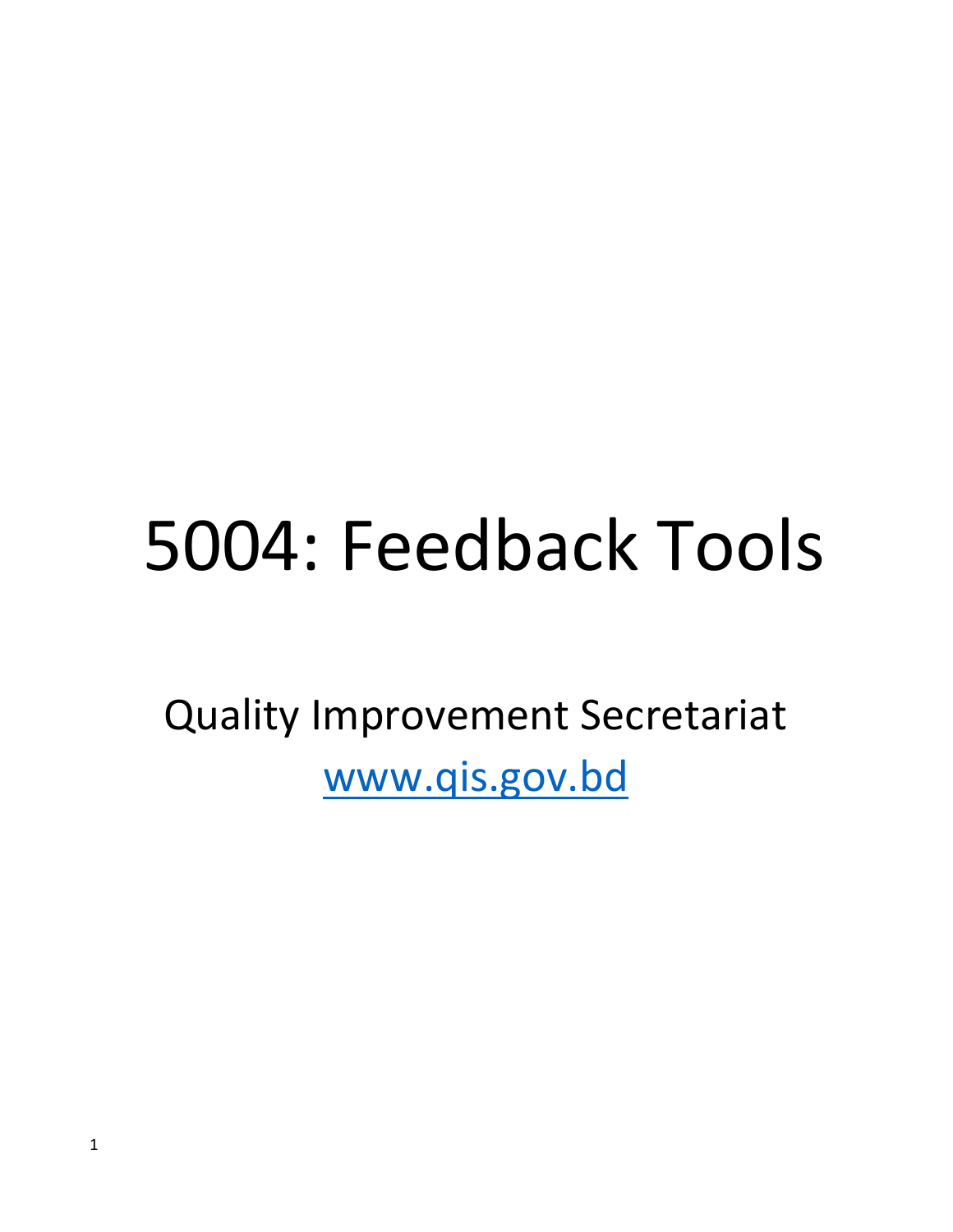# 5004: Feedback Tools

Quality Improvement Secretariat www.qis.gov.bd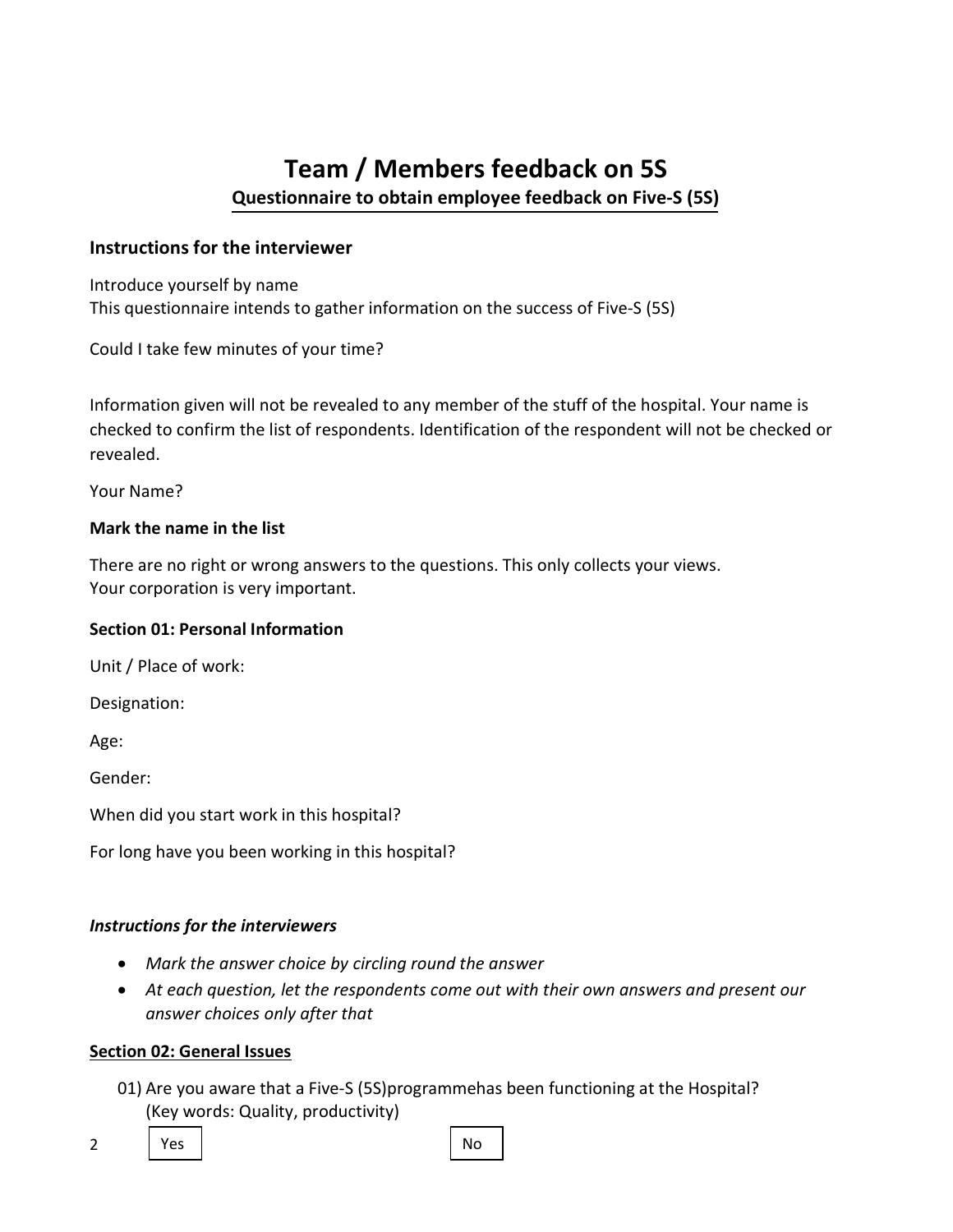# Team / Members feedback on 5S Questionnaire to obtain employee feedback on Five-S (5S)

#### Instructions for the interviewer

Introduce yourself by name This questionnaire intends to gather information on the success of Five-S (5S)

Could I take few minutes of your time?

Information given will not be revealed to any member of the stuff of the hospital. Your name is checked to confirm the list of respondents. Identification of the respondent will not be checked or revealed.

Your Name?

#### Mark the name in the list

There are no right or wrong answers to the questions. This only collects your views. Your corporation is very important.

#### Section 01: Personal Information

Unit / Place of work:

Designation:

Age:

Gender:

When did you start work in this hospital?

For long have you been working in this hospital?

#### Instructions for the interviewers

- Mark the answer choice by circling round the answer
- At each question, let the respondents come out with their own answers and present our answer choices only after that

#### Section 02: General Issues

01) Are you aware that a Five-S (5S)programmehas been functioning at the Hospital? (Key words: Quality, productivity)

2

Yes | No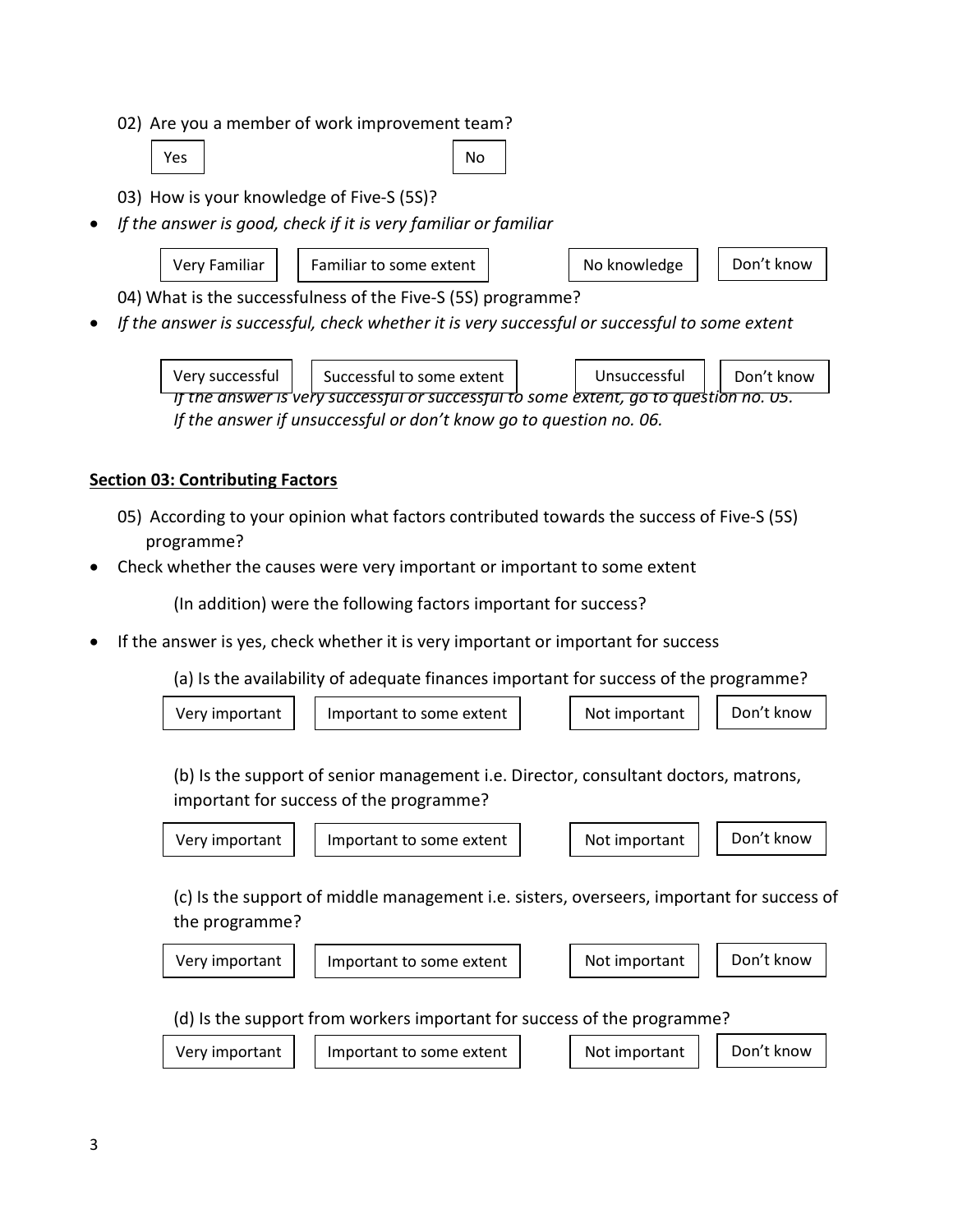02) Are you a member of work improvement team?

```
Yes No. 2012 | No. 2014
```
- 03) How is your knowledge of Five-S (5S)?
- If the answer is good, check if it is very familiar or familiar
	-

Very Familiar  $\vert \vert$  Familiar to some extent  $\vert \vert$   $\vert$  No knowledge  $\vert \vert$  Don't know

04) What is the successfulness of the Five-S (5S) programme?

If the answer is successful, check whether it is very successful or successful to some extent



#### Section 03: Contributing Factors

- 05) According to your opinion what factors contributed towards the success of Five-S (5S) programme?
- Check whether the causes were very important or important to some extent

(In addition) were the following factors important for success?

If the answer is yes, check whether it is very important or important for success

(a) Is the availability of adequate finances important for success of the programme?

| Very important | Important to some extent | Not important | Don't know |
|----------------|--------------------------|---------------|------------|
|                |                          |               |            |

(b) Is the support of senior management i.e. Director, consultant doctors, matrons, important for success of the programme?

| Very important |
|----------------|
|                |





(c) Is the support of middle management i.e. sisters, overseers, important for success of the programme?

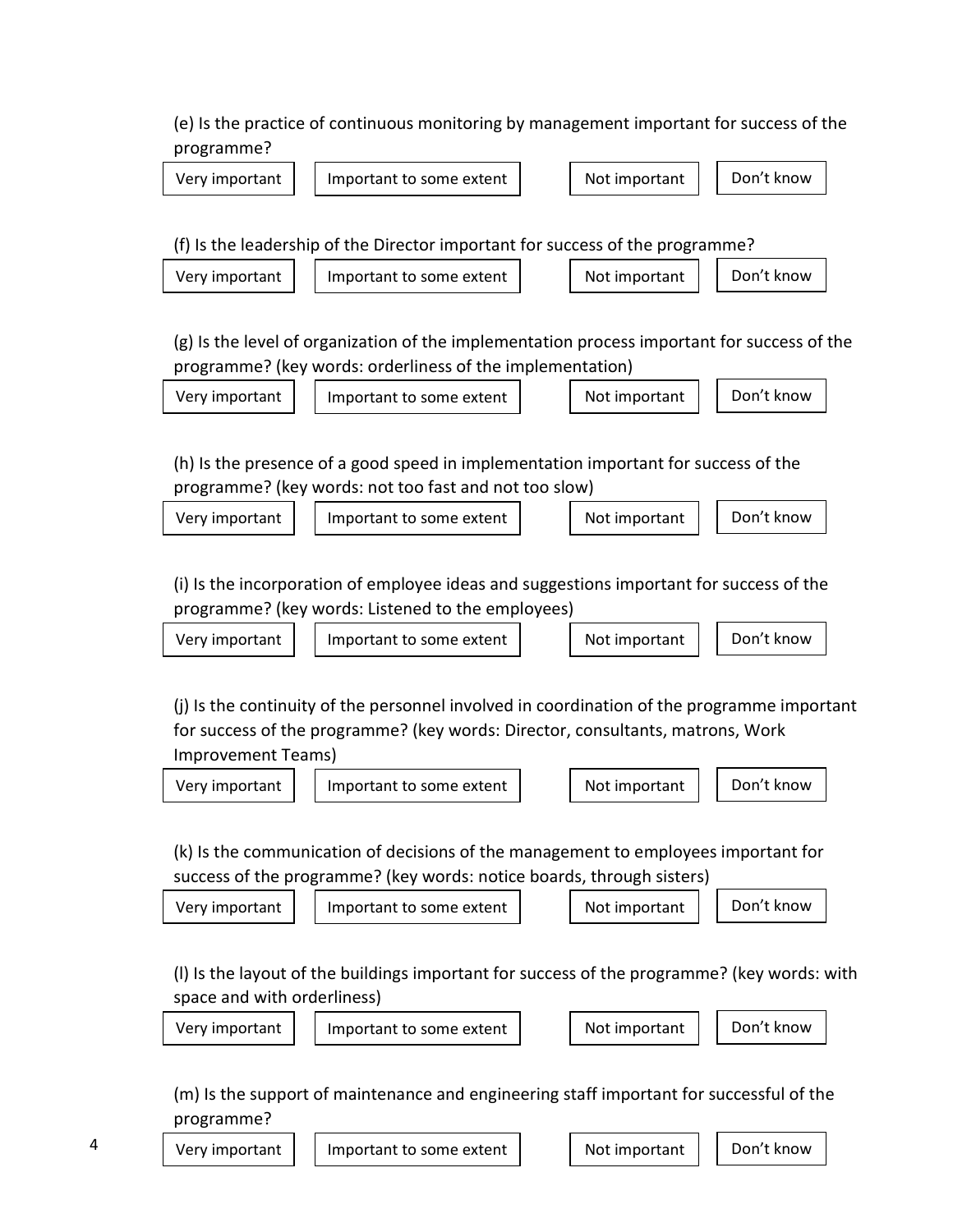(e) Is the practice of continuous monitoring by management important for success of the programme?



(m) Is the support of maintenance and engineering staff important for successful of the programme?

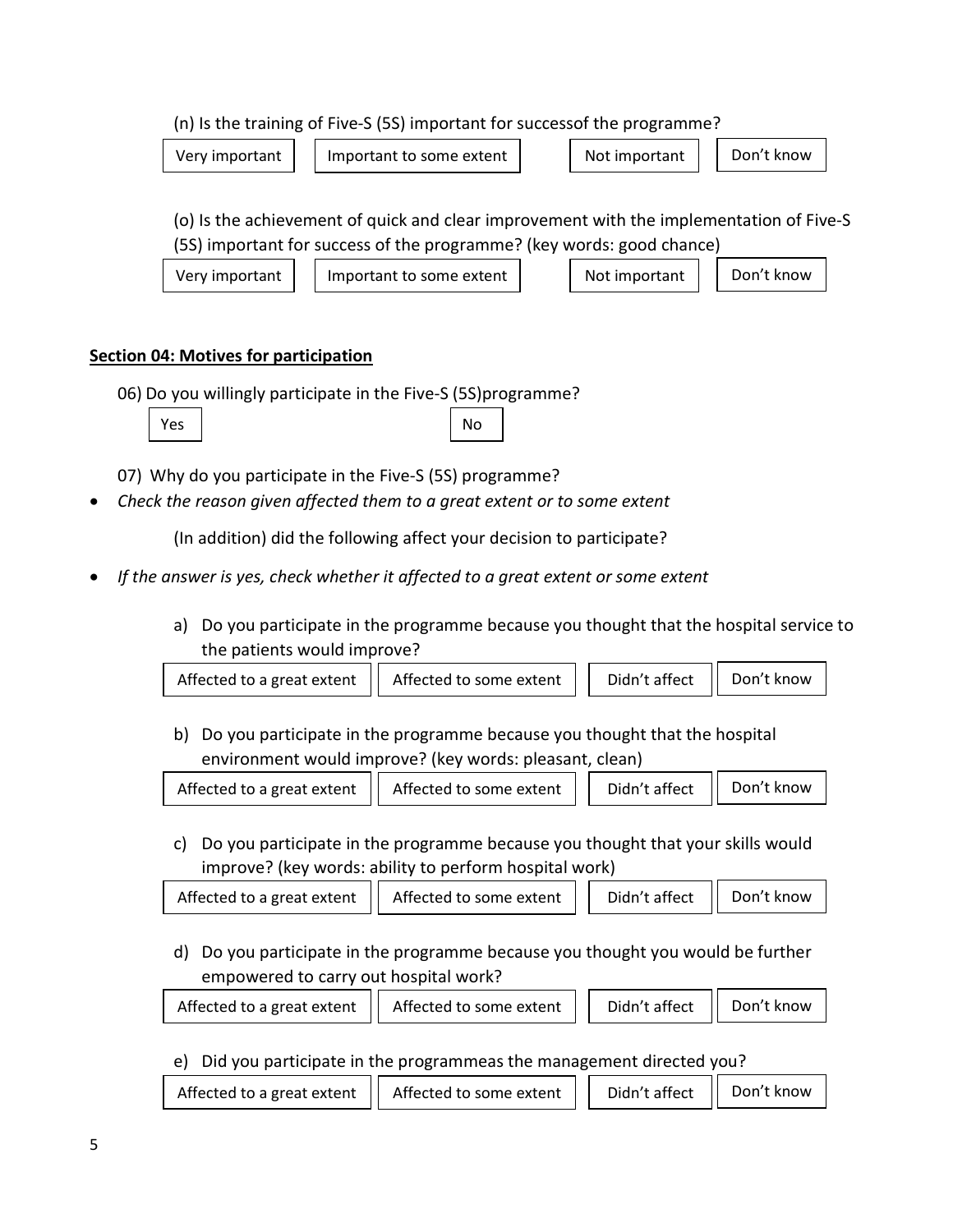#### (n) Is the training of Five-S (5S) important for successof the programme?

Very important  $\vert$  Important to some extent  $\vert$  Not important  $\vert$  Don't know

(o) Is the achievement of quick and clear improvement with the implementation of Five-S (5S) important for success of the programme? (key words: good chance)

Very important  $\vert$  Important to some extent  $\vert$  Not important  $\vert$  Don't know

## Section 04: Motives for participation

06) Do you willingly participate in the Five-S (5S)programme?



Yes | No

07) Why do you participate in the Five-S (5S) programme?

Check the reason given affected them to a great extent or to some extent

(In addition) did the following affect your decision to participate?

- If the answer is yes, check whether it affected to a great extent or some extent
	- a) Do you participate in the programme because you thought that the hospital service to the patients would improve?

| Affected to a great extent   Affected to some extent | Didn't affect   Don't know |  |
|------------------------------------------------------|----------------------------|--|
|                                                      |                            |  |

b) Do you participate in the programme because you thought that the hospital environment would improve? (key words: pleasant, clean)

| Didn't affect   Don't know<br>Affected to a great extent $  $ Affected to some extent $  $ |
|--------------------------------------------------------------------------------------------|
|--------------------------------------------------------------------------------------------|

c) Do you participate in the programme because you thought that your skills would improve? (key words: ability to perform hospital work)

| Affected to a great extent   Affected to some extent | Didn't affect   Don't know |  |
|------------------------------------------------------|----------------------------|--|
|                                                      |                            |  |

d) Do you participate in the programme because you thought you would be further empowered to carry out hospital work?

| Didn't affect   Don't know<br>Affected to a great extent   Affected to some extent |  |  |  |  |
|------------------------------------------------------------------------------------|--|--|--|--|
|------------------------------------------------------------------------------------|--|--|--|--|

e) Did you participate in the programmeas the management directed you?

| Didn't affect   Don't know<br>Affected to a great extent $  $ Affected to some extent |  |  |  |  |
|---------------------------------------------------------------------------------------|--|--|--|--|
|---------------------------------------------------------------------------------------|--|--|--|--|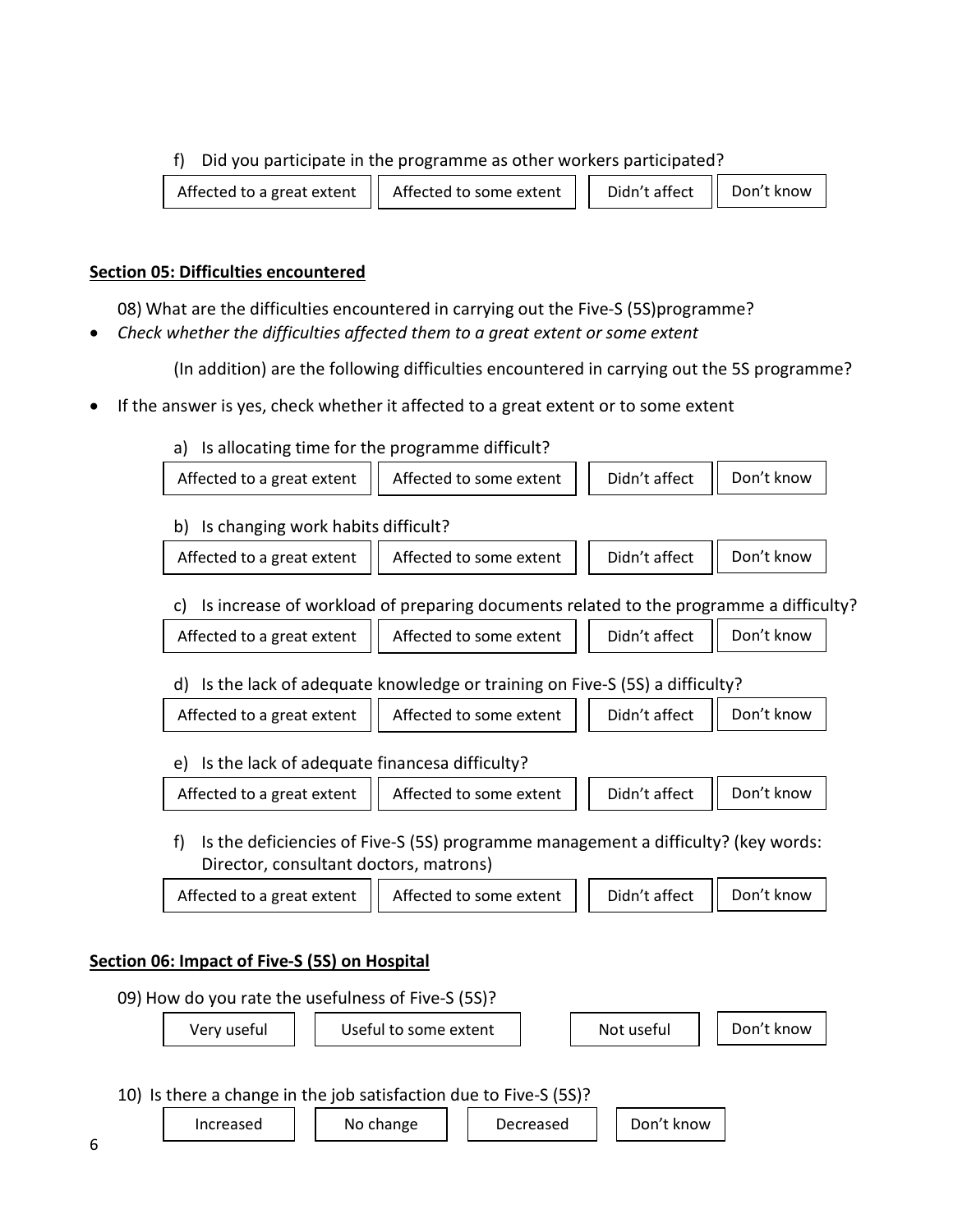#### f) Did you participate in the programme as other workers participated?

| Affected to a great extent   Affected to some extent |  |  | Didn't affect   Don't know |  |  |
|------------------------------------------------------|--|--|----------------------------|--|--|
|------------------------------------------------------|--|--|----------------------------|--|--|

#### Section 05: Difficulties encountered

08) What are the difficulties encountered in carrying out the Five-S (5S)programme?

Check whether the difficulties affected them to a great extent or some extent

(In addition) are the following difficulties encountered in carrying out the 5S programme?

If the answer is yes, check whether it affected to a great extent or to some extent

#### a) Is allocating time for the programme difficult?



d) Is the lack of adequate knowledge or training on Five-S (5S) a difficulty?

| Affected to a great extent $  $ Affected to some extent $  $ Didn't affect $  $ Don't know |  |  |
|--------------------------------------------------------------------------------------------|--|--|
|                                                                                            |  |  |

|  | e) Is the lack of adequate financesa difficulty? |  |
|--|--------------------------------------------------|--|
|  |                                                  |  |

| Affected to a great extent   Affected to some extent |  | Didn't affect   Don't know |  |
|------------------------------------------------------|--|----------------------------|--|
|                                                      |  |                            |  |

f) Is the deficiencies of Five-S (5S) programme management a difficulty? (key words: Director, consultant doctors, matrons)

| Affected to a great extent $  $ Affected to some extent |  | Didn't affect    Don't know |  |
|---------------------------------------------------------|--|-----------------------------|--|
|                                                         |  |                             |  |

## Section 06: Impact of Five-S (5S) on Hospital

09) How do you rate the usefulness of Five-S (5S)? 10) Is there a change in the job satisfaction due to Five-S (5S)? Very useful Useful to some extent Not useful Don't know

Increased No change Decreased Don't know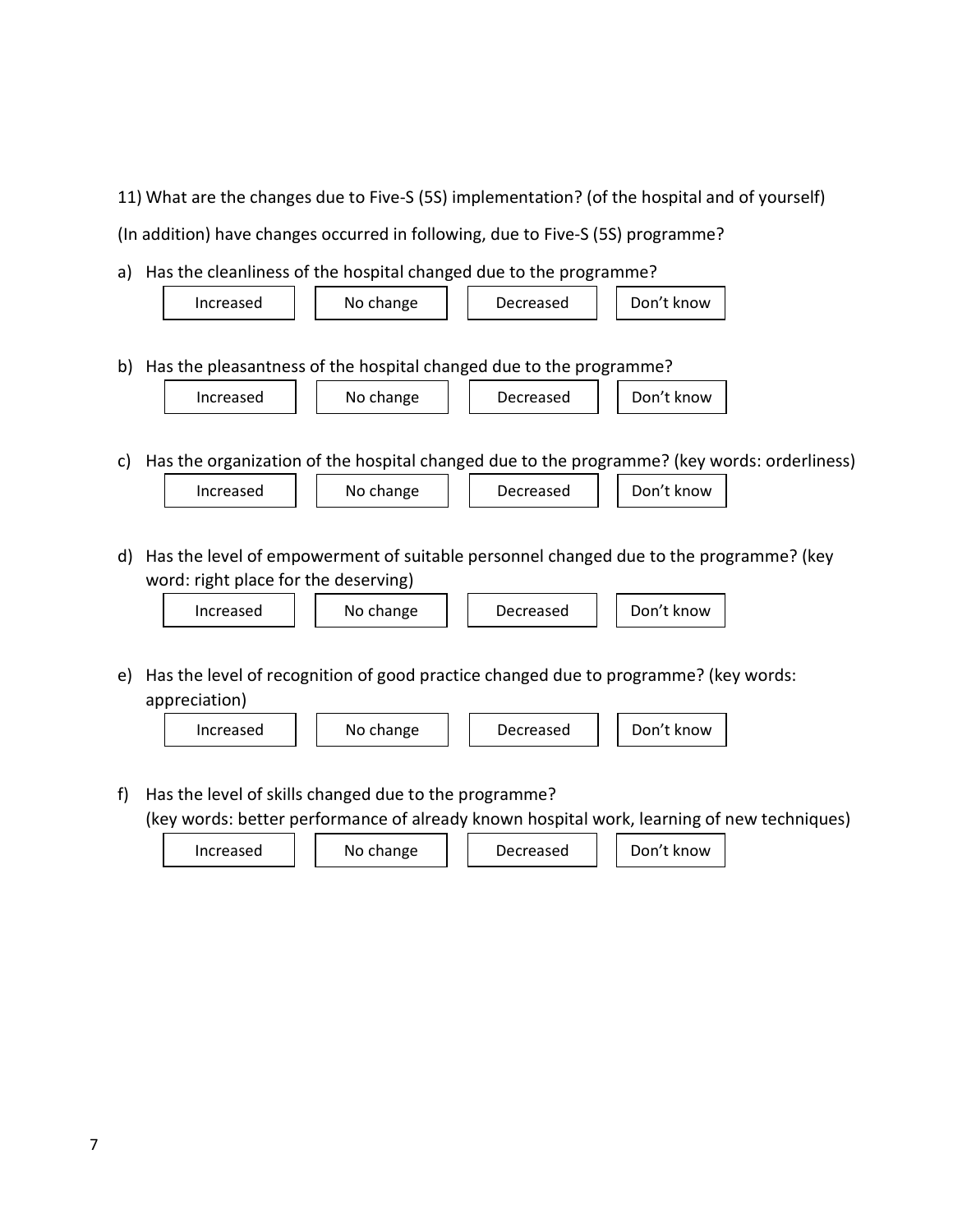11) What are the changes due to Five-S (5S) implementation? (of the hospital and of yourself)

(In addition) have changes occurred in following, due to Five-S (5S) programme?

a) Has the cleanliness of the hospital changed due to the programme?

|    | Don't know<br>No change<br>Decreased<br>Increased                                                                                                                     |  |  |  |  |  |  |  |  |  |
|----|-----------------------------------------------------------------------------------------------------------------------------------------------------------------------|--|--|--|--|--|--|--|--|--|
|    | b) Has the pleasantness of the hospital changed due to the programme?                                                                                                 |  |  |  |  |  |  |  |  |  |
|    | Increased<br>No change<br>Decreased<br>Don't know                                                                                                                     |  |  |  |  |  |  |  |  |  |
| C) | Has the organization of the hospital changed due to the programme? (key words: orderliness)                                                                           |  |  |  |  |  |  |  |  |  |
|    | Don't know<br>No change<br>Increased<br>Decreased                                                                                                                     |  |  |  |  |  |  |  |  |  |
|    |                                                                                                                                                                       |  |  |  |  |  |  |  |  |  |
| d) | Has the level of empowerment of suitable personnel changed due to the programme? (key                                                                                 |  |  |  |  |  |  |  |  |  |
|    | word: right place for the deserving)                                                                                                                                  |  |  |  |  |  |  |  |  |  |
|    | Don't know<br>Increased<br>No change<br>Decreased                                                                                                                     |  |  |  |  |  |  |  |  |  |
|    |                                                                                                                                                                       |  |  |  |  |  |  |  |  |  |
| e) | Has the level of recognition of good practice changed due to programme? (key words:                                                                                   |  |  |  |  |  |  |  |  |  |
|    | appreciation)                                                                                                                                                         |  |  |  |  |  |  |  |  |  |
|    | Don't know<br>No change<br>Increased<br>Decreased                                                                                                                     |  |  |  |  |  |  |  |  |  |
|    |                                                                                                                                                                       |  |  |  |  |  |  |  |  |  |
| f) | Has the level of skills changed due to the programme?<br>بالمترزع والمقاربية والمستقوم والمسمول واسترز الملامقة والمستموسات الممسوم والمستقوم والمستقر والمسمين زرورا |  |  |  |  |  |  |  |  |  |

(key words: better performance of already known hospital work, learning of new techniques)

 $\text{Increasing } | \text{ is a constant}$  No change  $\text{log}$  Decreased  $\text{log}$  Don't know